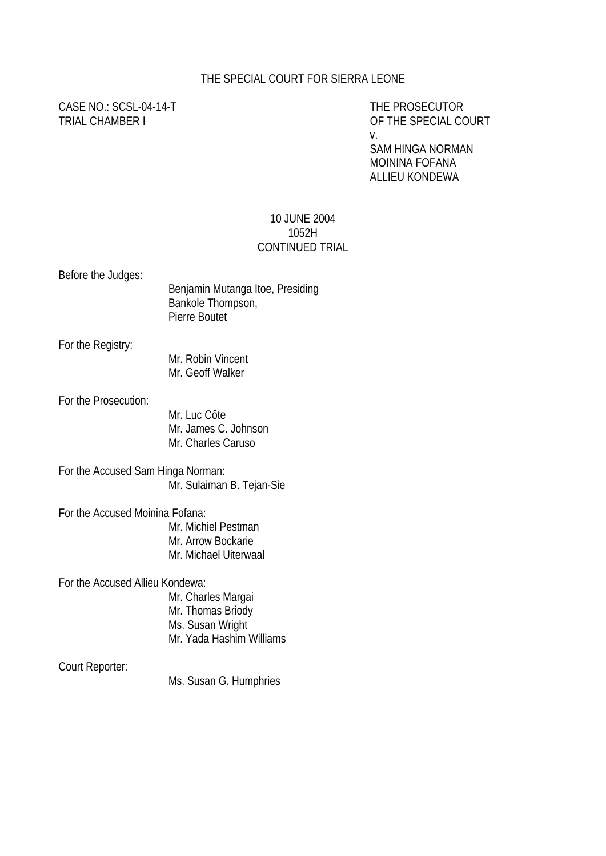## THE SPECIAL COURT FOR SIERRA LEONE

# CASE NO.: SCSL-04-14-T THE PROSECUTOR

TRIAL CHAMBER I OF THE SPECIAL COURT v.

> SAM HINGA NORMAN MOININA FOFANA ALLIEU KONDEWA

### 10 JUNE 2004 1052H CONTINUED TRIAL

Before the Judges:

| Benjamin Mutanga Itoe, Presiding |
|----------------------------------|
| Bankole Thompson,                |
| Pierre Boutet                    |

For the Registry:

Mr. Robin Vincent Mr. Geoff Walker

For the Prosecution:

Mr. Luc Côte Mr. James C. Johnson Mr. Charles Caruso

For the Accused Sam Hinga Norman: Mr. Sulaiman B. Tejan-Sie

For the Accused Moinina Fofana:

Mr. Michiel Pestman

- Mr. Arrow Bockarie
- Mr. Michael Uiterwaal

For the Accused Allieu Kondewa:

Mr. Charles Margai Mr. Thomas Briody Ms. Susan Wright Mr. Yada Hashim Williams

Court Reporter:

Ms. Susan G. Humphries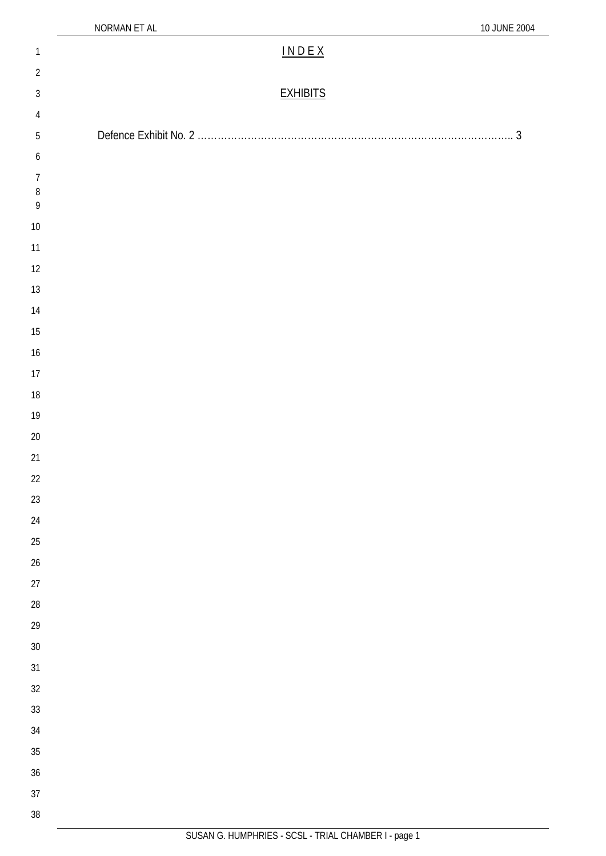| $\mathbf{1}$             | $IN DE X$       |
|--------------------------|-----------------|
| $\overline{2}$           |                 |
| $\sqrt{3}$               | <b>EXHIBITS</b> |
| $\overline{4}$           |                 |
| $\sqrt{5}$               |                 |
| 6                        |                 |
| $\overline{7}$           |                 |
| $\, 8$<br>$\overline{9}$ |                 |
| $10\,$                   |                 |
| 11                       |                 |
| 12                       |                 |
| $13\,$                   |                 |
| $14$                     |                 |
| $15\,$                   |                 |
| 16                       |                 |
| $17\,$                   |                 |
| $18\,$                   |                 |
| $19\,$                   |                 |
| $20\,$                   |                 |
| 21                       |                 |
| 22                       |                 |
| 23                       |                 |
| 24                       |                 |
| 25                       |                 |
| 26                       |                 |
| 27                       |                 |
| 28                       |                 |
| 29<br>$30\,$             |                 |
| 31                       |                 |
| 32                       |                 |
| 33                       |                 |
| 34                       |                 |
| 35                       |                 |
| 36                       |                 |
| 37                       |                 |
| 38                       |                 |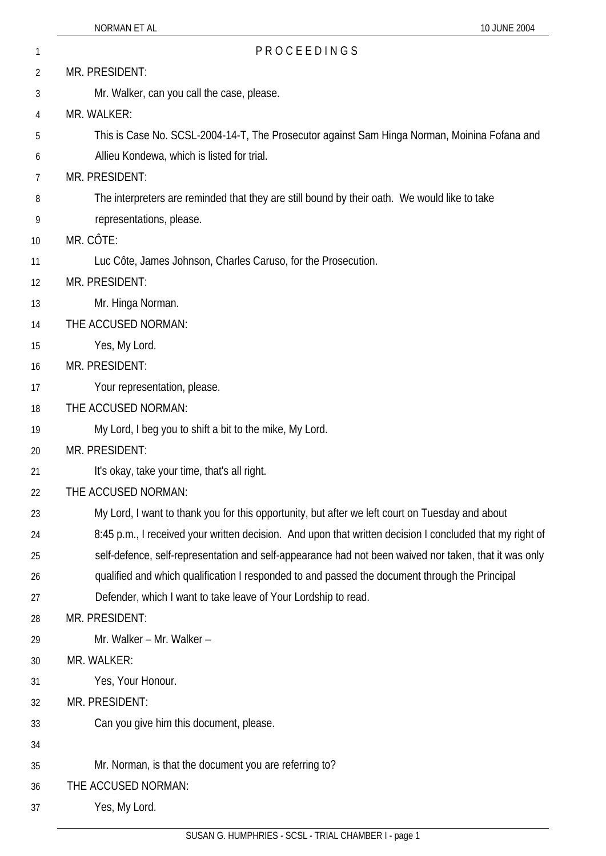| 1  | PROCEEDINGS                                                                                              |
|----|----------------------------------------------------------------------------------------------------------|
| 2  | MR. PRESIDENT:                                                                                           |
| 3  | Mr. Walker, can you call the case, please.                                                               |
| 4  | MR. WALKER:                                                                                              |
| 5  | This is Case No. SCSL-2004-14-T, The Prosecutor against Sam Hinga Norman, Moinina Fofana and             |
| 6  | Allieu Kondewa, which is listed for trial.                                                               |
| 7  | MR. PRESIDENT:                                                                                           |
| 8  | The interpreters are reminded that they are still bound by their oath. We would like to take             |
| 9  | representations, please.                                                                                 |
| 10 | MR. CÔTE:                                                                                                |
| 11 | Luc Côte, James Johnson, Charles Caruso, for the Prosecution.                                            |
| 12 | MR. PRESIDENT:                                                                                           |
| 13 | Mr. Hinga Norman.                                                                                        |
| 14 | THE ACCUSED NORMAN:                                                                                      |
| 15 | Yes, My Lord.                                                                                            |
| 16 | MR. PRESIDENT:                                                                                           |
| 17 | Your representation, please.                                                                             |
| 18 | THE ACCUSED NORMAN:                                                                                      |
| 19 | My Lord, I beg you to shift a bit to the mike, My Lord.                                                  |
| 20 | MR. PRESIDENT:                                                                                           |
| 21 | It's okay, take your time, that's all right.                                                             |
| 22 | THE ACCUSED NORMAN:                                                                                      |
| 23 | My Lord, I want to thank you for this opportunity, but after we left court on Tuesday and about          |
| 24 | 8:45 p.m., I received your written decision. And upon that written decision I concluded that my right of |
| 25 | self-defence, self-representation and self-appearance had not been waived nor taken, that it was only    |
| 26 | qualified and which qualification I responded to and passed the document through the Principal           |
| 27 | Defender, which I want to take leave of Your Lordship to read.                                           |
| 28 | MR. PRESIDENT:                                                                                           |
| 29 | Mr. Walker - Mr. Walker -                                                                                |
| 30 | MR. WALKER:                                                                                              |
| 31 | Yes, Your Honour.                                                                                        |
| 32 | MR. PRESIDENT:                                                                                           |
| 33 | Can you give him this document, please.                                                                  |
| 34 |                                                                                                          |
| 35 | Mr. Norman, is that the document you are referring to?                                                   |
| 36 | THE ACCUSED NORMAN:                                                                                      |
| 37 | Yes, My Lord.                                                                                            |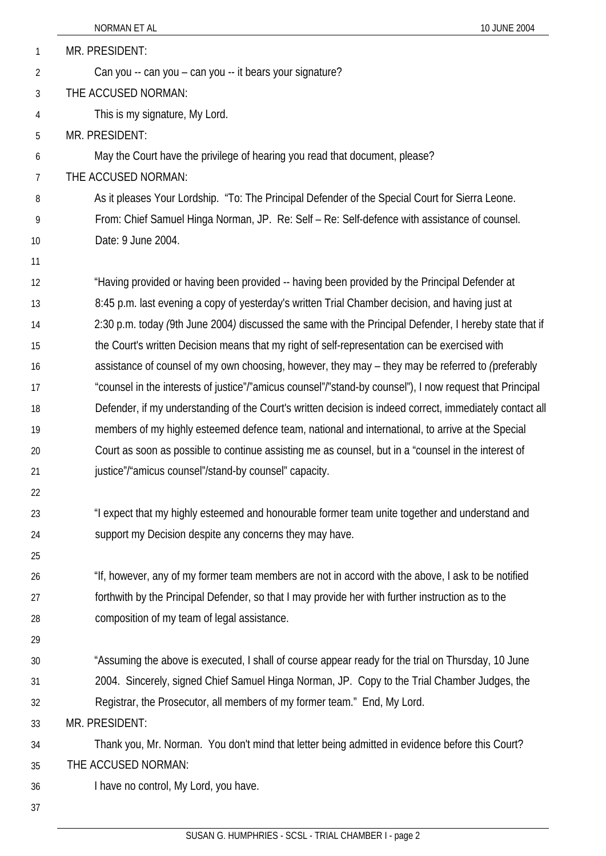|    | NORMAN ET AL<br>10 JUNE 2004                                                                             |
|----|----------------------------------------------------------------------------------------------------------|
| 1  | MR. PRESIDENT:                                                                                           |
| 2  | Can you -- can you - can you -- it bears your signature?                                                 |
| 3  | THE ACCUSED NORMAN:                                                                                      |
| 4  | This is my signature, My Lord.                                                                           |
| 5  | MR. PRESIDENT:                                                                                           |
| 6  | May the Court have the privilege of hearing you read that document, please?                              |
| 7  | THE ACCUSED NORMAN:                                                                                      |
| 8  | As it pleases Your Lordship. "To: The Principal Defender of the Special Court for Sierra Leone.          |
| 9  | From: Chief Samuel Hinga Norman, JP. Re: Self - Re: Self-defence with assistance of counsel.             |
| 10 | Date: 9 June 2004.                                                                                       |
| 11 |                                                                                                          |
| 12 | "Having provided or having been provided -- having been provided by the Principal Defender at            |
| 13 | 8:45 p.m. last evening a copy of yesterday's written Trial Chamber decision, and having just at          |
| 14 | 2:30 p.m. today (9th June 2004) discussed the same with the Principal Defender, I hereby state that if   |
| 15 | the Court's written Decision means that my right of self-representation can be exercised with            |
| 16 | assistance of counsel of my own choosing, however, they may – they may be referred to <i>(preferably</i> |
| 17 | "counsel in the interests of justice"/"amicus counsel"/"stand-by counsel"), I now request that Principal |
| 18 | Defender, if my understanding of the Court's written decision is indeed correct, immediately contact all |
| 19 | members of my highly esteemed defence team, national and international, to arrive at the Special         |
| 20 | Court as soon as possible to continue assisting me as counsel, but in a "counsel in the interest of      |
| 21 | justice"/"amicus counsel"/stand-by counsel" capacity.                                                    |
| 22 |                                                                                                          |
| 23 | "I expect that my highly esteemed and honourable former team unite together and understand and           |
| 24 | support my Decision despite any concerns they may have.                                                  |
| 25 |                                                                                                          |
| 26 | "If, however, any of my former team members are not in accord with the above, I ask to be notified       |
| 27 | forthwith by the Principal Defender, so that I may provide her with further instruction as to the        |
| 28 | composition of my team of legal assistance.                                                              |
| 29 |                                                                                                          |
| 30 | "Assuming the above is executed, I shall of course appear ready for the trial on Thursday, 10 June       |
| 31 | 2004. Sincerely, signed Chief Samuel Hinga Norman, JP. Copy to the Trial Chamber Judges, the             |
| 32 | Registrar, the Prosecutor, all members of my former team." End, My Lord.                                 |
| 33 | MR. PRESIDENT:                                                                                           |
| 34 | Thank you, Mr. Norman. You don't mind that letter being admitted in evidence before this Court?          |
| 35 | THE ACCUSED NORMAN:                                                                                      |
| 36 | I have no control, My Lord, you have.                                                                    |
| 37 |                                                                                                          |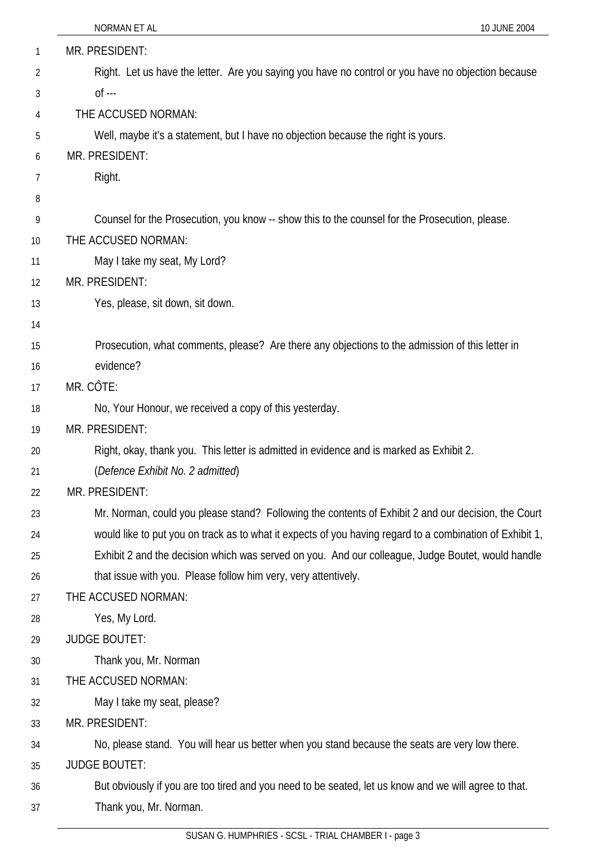| 1  | MR. PRESIDENT:                                                                                           |
|----|----------------------------------------------------------------------------------------------------------|
| 2  | Right. Let us have the letter. Are you saying you have no control or you have no objection because       |
| 3  | $0f - -$                                                                                                 |
| 4  | THE ACCUSED NORMAN:                                                                                      |
| 5  | Well, maybe it's a statement, but I have no objection because the right is yours.                        |
| 6  | MR. PRESIDENT:                                                                                           |
| 7  | Right.                                                                                                   |
| 8  |                                                                                                          |
| 9  | Counsel for the Prosecution, you know -- show this to the counsel for the Prosecution, please.           |
| 10 | THE ACCUSED NORMAN:                                                                                      |
| 11 | May I take my seat, My Lord?                                                                             |
| 12 | MR. PRESIDENT:                                                                                           |
| 13 | Yes, please, sit down, sit down.                                                                         |
| 14 |                                                                                                          |
| 15 | Prosecution, what comments, please? Are there any objections to the admission of this letter in          |
| 16 | evidence?                                                                                                |
| 17 | MR. CÔTE:                                                                                                |
| 18 | No, Your Honour, we received a copy of this yesterday.                                                   |
| 19 | MR. PRESIDENT:                                                                                           |
| 20 | Right, okay, thank you. This letter is admitted in evidence and is marked as Exhibit 2.                  |
| 21 | (Defence Exhibit No. 2 admitted)                                                                         |
| 22 | MR. PRESIDENT:                                                                                           |
| 23 | Mr. Norman, could you please stand? Following the contents of Exhibit 2 and our decision, the Court      |
| 24 | would like to put you on track as to what it expects of you having regard to a combination of Exhibit 1, |
| 25 | Exhibit 2 and the decision which was served on you. And our colleague, Judge Boutet, would handle        |
| 26 | that issue with you. Please follow him very, very attentively.                                           |
| 27 | THE ACCUSED NORMAN:                                                                                      |
| 28 | Yes, My Lord.                                                                                            |
| 29 | <b>JUDGE BOUTET:</b>                                                                                     |
| 30 | Thank you, Mr. Norman                                                                                    |
| 31 | THE ACCUSED NORMAN:                                                                                      |
| 32 | May I take my seat, please?                                                                              |
| 33 | MR. PRESIDENT:                                                                                           |
| 34 | No, please stand. You will hear us better when you stand because the seats are very low there.           |
| 35 | <b>JUDGE BOUTET:</b>                                                                                     |
| 36 | But obviously if you are too tired and you need to be seated, let us know and we will agree to that.     |
| 37 | Thank you, Mr. Norman.                                                                                   |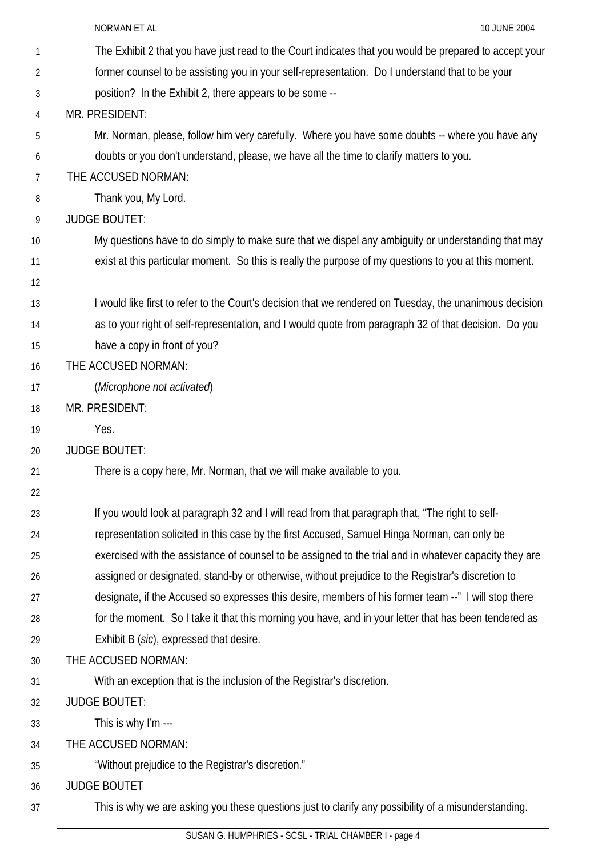|                | NORMAN ET AL<br>10 JUNE 2004                                                                            |
|----------------|---------------------------------------------------------------------------------------------------------|
| 1              | The Exhibit 2 that you have just read to the Court indicates that you would be prepared to accept your  |
| $\overline{2}$ | former counsel to be assisting you in your self-representation. Do I understand that to be your         |
| 3              | position? In the Exhibit 2, there appears to be some --                                                 |
| 4              | MR. PRESIDENT:                                                                                          |
| 5              | Mr. Norman, please, follow him very carefully. Where you have some doubts -- where you have any         |
| 6              | doubts or you don't understand, please, we have all the time to clarify matters to you.                 |
| 7              | THE ACCUSED NORMAN:                                                                                     |
| 8              | Thank you, My Lord.                                                                                     |
| 9              | <b>JUDGE BOUTET:</b>                                                                                    |
| 10             | My questions have to do simply to make sure that we dispel any ambiguity or understanding that may      |
| 11             | exist at this particular moment. So this is really the purpose of my questions to you at this moment.   |
| 12             |                                                                                                         |
| 13             | I would like first to refer to the Court's decision that we rendered on Tuesday, the unanimous decision |
| 14             | as to your right of self-representation, and I would quote from paragraph 32 of that decision. Do you   |
| 15             | have a copy in front of you?                                                                            |
| 16             | THE ACCUSED NORMAN:                                                                                     |
| 17             | (Microphone not activated)                                                                              |
| 18             | MR. PRESIDENT:                                                                                          |
| 19             | Yes.                                                                                                    |
| 20             | <b>JUDGE BOUTET:</b>                                                                                    |
| 21             | There is a copy here, Mr. Norman, that we will make available to you.                                   |
| 22             |                                                                                                         |
| 23             | If you would look at paragraph 32 and I will read from that paragraph that, "The right to self-         |
| 24             | representation solicited in this case by the first Accused, Samuel Hinga Norman, can only be            |
| 25             | exercised with the assistance of counsel to be assigned to the trial and in whatever capacity they are  |
| 26             | assigned or designated, stand-by or otherwise, without prejudice to the Registrar's discretion to       |
| 27             | designate, if the Accused so expresses this desire, members of his former team --" I will stop there    |
| 28             | for the moment. So I take it that this morning you have, and in your letter that has been tendered as   |
| 29             | Exhibit B (sic), expressed that desire.                                                                 |
| 30             | THE ACCUSED NORMAN:                                                                                     |
| 31             | With an exception that is the inclusion of the Registrar's discretion.                                  |
| 32             | <b>JUDGE BOUTET:</b>                                                                                    |
| 33             | This is why I'm ---                                                                                     |
| 34             | THE ACCUSED NORMAN:                                                                                     |
| 35             | "Without prejudice to the Registrar's discretion."                                                      |
| 36             | <b>JUDGE BOUTET</b>                                                                                     |
| 37             | This is why we are asking you these questions just to clarify any possibility of a misunderstanding.    |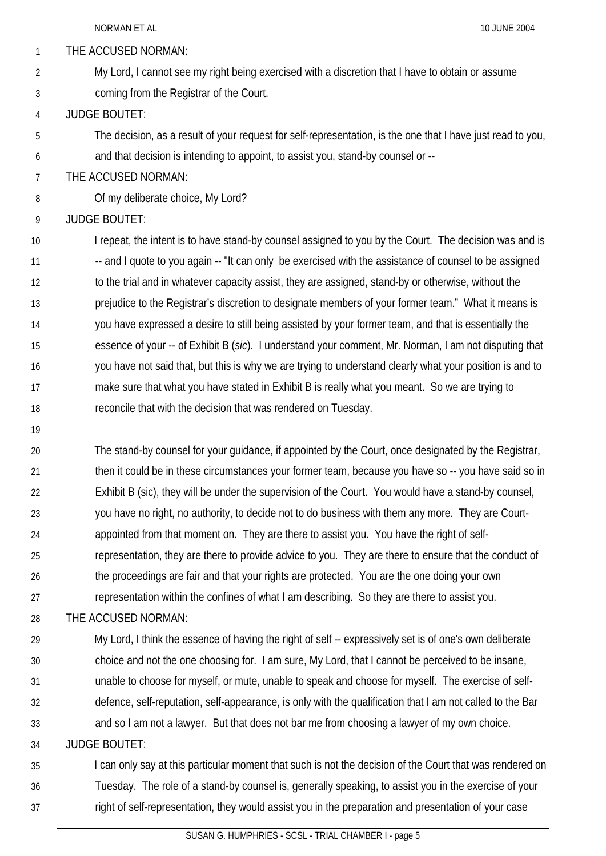|                | NORMAN ET AL<br>10 JUNE 2004                                                                                |
|----------------|-------------------------------------------------------------------------------------------------------------|
| 1              | THE ACCUSED NORMAN:                                                                                         |
| 2              | My Lord, I cannot see my right being exercised with a discretion that I have to obtain or assume            |
| 3              | coming from the Registrar of the Court.                                                                     |
| 4              | <b>JUDGE BOUTET:</b>                                                                                        |
| 5              | The decision, as a result of your request for self-representation, is the one that I have just read to you, |
| 6              | and that decision is intending to appoint, to assist you, stand-by counsel or --                            |
| $\overline{7}$ | THE ACCUSED NORMAN:                                                                                         |
| 8              | Of my deliberate choice, My Lord?                                                                           |
| 9              | <b>JUDGE BOUTET:</b>                                                                                        |
| 10             | I repeat, the intent is to have stand-by counsel assigned to you by the Court. The decision was and is      |
| 11             | -- and I quote to you again -- "It can only be exercised with the assistance of counsel to be assigned      |
| 12             | to the trial and in whatever capacity assist, they are assigned, stand-by or otherwise, without the         |
| 13             | prejudice to the Registrar's discretion to designate members of your former team." What it means is         |
| 14             | you have expressed a desire to still being assisted by your former team, and that is essentially the        |
| 15             | essence of your -- of Exhibit B (sic). I understand your comment, Mr. Norman, I am not disputing that       |
| 16             | you have not said that, but this is why we are trying to understand clearly what your position is and to    |
| 17             | make sure that what you have stated in Exhibit B is really what you meant. So we are trying to              |
| 18             | reconcile that with the decision that was rendered on Tuesday.                                              |
| 19             |                                                                                                             |

20 21 22 23 24 25 26 27 The stand-by counsel for your guidance, if appointed by the Court, once designated by the Registrar, then it could be in these circumstances your former team, because you have so -- you have said so in Exhibit B (sic), they will be under the supervision of the Court. You would have a stand-by counsel, you have no right, no authority, to decide not to do business with them any more. They are Courtappointed from that moment on. They are there to assist you. You have the right of selfrepresentation, they are there to provide advice to you. They are there to ensure that the conduct of the proceedings are fair and that your rights are protected. You are the one doing your own representation within the confines of what I am describing. So they are there to assist you.

- 28 THE ACCUSED NORMAN:
- 29 30 31 32 33 My Lord, I think the essence of having the right of self -- expressively set is of one's own deliberate choice and not the one choosing for. I am sure, My Lord, that I cannot be perceived to be insane, unable to choose for myself, or mute, unable to speak and choose for myself. The exercise of selfdefence, self-reputation, self-appearance, is only with the qualification that I am not called to the Bar and so I am not a lawyer. But that does not bar me from choosing a lawyer of my own choice.
- 34 JUDGE BOUTET:
- 35 36 37 I can only say at this particular moment that such is not the decision of the Court that was rendered on Tuesday. The role of a stand-by counsel is, generally speaking, to assist you in the exercise of your right of self-representation, they would assist you in the preparation and presentation of your case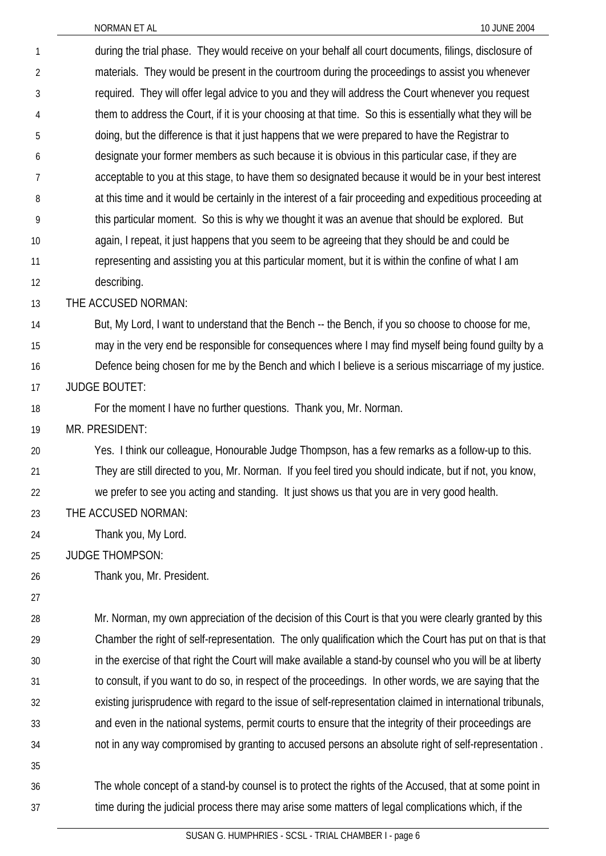| 1              | during the trial phase. They would receive on your behalf all court documents, filings, disclosure of      |
|----------------|------------------------------------------------------------------------------------------------------------|
| $\overline{2}$ | materials. They would be present in the courtroom during the proceedings to assist you whenever            |
| $\mathfrak{Z}$ | required. They will offer legal advice to you and they will address the Court whenever you request         |
| 4              | them to address the Court, if it is your choosing at that time. So this is essentially what they will be   |
| 5              | doing, but the difference is that it just happens that we were prepared to have the Registrar to           |
| 6              | designate your former members as such because it is obvious in this particular case, if they are           |
| 7              | acceptable to you at this stage, to have them so designated because it would be in your best interest      |
| 8              | at this time and it would be certainly in the interest of a fair proceeding and expeditious proceeding at  |
| 9              | this particular moment. So this is why we thought it was an avenue that should be explored. But            |
| 10             | again, I repeat, it just happens that you seem to be agreeing that they should be and could be             |
| 11             | representing and assisting you at this particular moment, but it is within the confine of what I am        |
| 12             | describing.                                                                                                |
| 13             | THE ACCUSED NORMAN:                                                                                        |
| 14             | But, My Lord, I want to understand that the Bench -- the Bench, if you so choose to choose for me,         |
| 15             | may in the very end be responsible for consequences where I may find myself being found guilty by a        |
| 16             | Defence being chosen for me by the Bench and which I believe is a serious miscarriage of my justice.       |
| 17             | <b>JUDGE BOUTET:</b>                                                                                       |
| 18             | For the moment I have no further questions. Thank you, Mr. Norman.                                         |
| 19             | MR. PRESIDENT:                                                                                             |
| 20             | Yes. I think our colleague, Honourable Judge Thompson, has a few remarks as a follow-up to this.           |
| 21             | They are still directed to you, Mr. Norman. If you feel tired you should indicate, but if not, you know,   |
| 22             | we prefer to see you acting and standing. It just shows us that you are in very good health.               |
| 23             | THE ACCUSED NORMAN:                                                                                        |
| 24             | Thank you, My Lord.                                                                                        |
| 25             | <b>JUDGE THOMPSON:</b>                                                                                     |
| 26             | Thank you, Mr. President.                                                                                  |
| 27             |                                                                                                            |
| 28             | Mr. Norman, my own appreciation of the decision of this Court is that you were clearly granted by this     |
| 29             | Chamber the right of self-representation. The only qualification which the Court has put on that is that   |
| 30             | in the exercise of that right the Court will make available a stand-by counsel who you will be at liberty  |
| 31             | to consult, if you want to do so, in respect of the proceedings. In other words, we are saying that the    |
| 32             | existing jurisprudence with regard to the issue of self-representation claimed in international tribunals, |
| 33             | and even in the national systems, permit courts to ensure that the integrity of their proceedings are      |
| 34             | not in any way compromised by granting to accused persons an absolute right of self-representation.        |
| 35             |                                                                                                            |
| 36             | The whole concept of a stand-by counsel is to protect the rights of the Accused, that at some point in     |
| 37             | time during the judicial process there may arise some matters of legal complications which, if the         |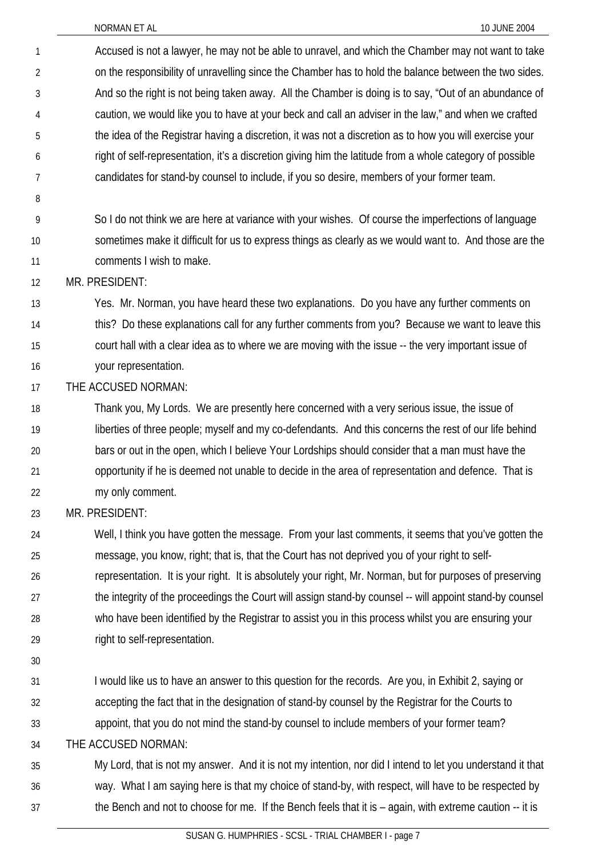- Accused is not a lawyer, he may not be able to unravel, and which the Chamber may not want to take on the responsibility of unravelling since the Chamber has to hold the balance between the two sides. And so the right is not being taken away. All the Chamber is doing is to say, "Out of an abundance of caution, we would like you to have at your beck and call an adviser in the law," and when we crafted the idea of the Registrar having a discretion, it was not a discretion as to how you will exercise your right of self-representation, it's a discretion giving him the latitude from a whole category of possible candidates for stand-by counsel to include, if you so desire, members of your former team. 1 2 3 4 5 6 7
- 8
- 9 10 11 So I do not think we are here at variance with your wishes. Of course the imperfections of language sometimes make it difficult for us to express things as clearly as we would want to. And those are the comments I wish to make.

12 MR. PRESIDENT:

- 13 14 15 16 Yes. Mr. Norman, you have heard these two explanations. Do you have any further comments on this? Do these explanations call for any further comments from you? Because we want to leave this court hall with a clear idea as to where we are moving with the issue -- the very important issue of your representation.
- 17 THE ACCUSED NORMAN:
- 18 19 20 21 22 Thank you, My Lords. We are presently here concerned with a very serious issue, the issue of liberties of three people; myself and my co-defendants. And this concerns the rest of our life behind bars or out in the open, which I believe Your Lordships should consider that a man must have the opportunity if he is deemed not unable to decide in the area of representation and defence. That is my only comment.

23 MR. PRESIDENT:

- 24 25 26 27 28 29 Well, I think you have gotten the message. From your last comments, it seems that you've gotten the message, you know, right; that is, that the Court has not deprived you of your right to selfrepresentation. It is your right. It is absolutely your right, Mr. Norman, but for purposes of preserving the integrity of the proceedings the Court will assign stand-by counsel -- will appoint stand-by counsel who have been identified by the Registrar to assist you in this process whilst you are ensuring your right to self-representation.
- 30
- 31 32 I would like us to have an answer to this question for the records. Are you, in Exhibit 2, saying or accepting the fact that in the designation of stand-by counsel by the Registrar for the Courts to
- 33 appoint, that you do not mind the stand-by counsel to include members of your former team?
- 34 THE ACCUSED NORMAN:
- 35 36 37 My Lord, that is not my answer. And it is not my intention, nor did I intend to let you understand it that way. What I am saying here is that my choice of stand-by, with respect, will have to be respected by the Bench and not to choose for me. If the Bench feels that it is – again, with extreme caution -- it is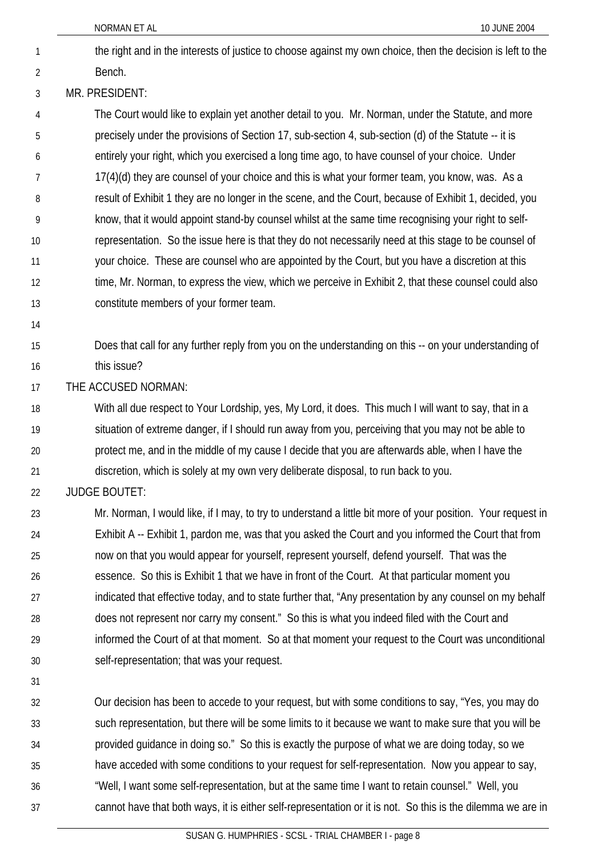the right and in the interests of justice to choose against my own choice, then the decision is left to the Bench. 1 2

#### 3 MR. PRESIDENT:

4 5 6 7 8 9 10 11 12 13 The Court would like to explain yet another detail to you. Mr. Norman, under the Statute, and more precisely under the provisions of Section 17, sub-section 4, sub-section (d) of the Statute -- it is entirely your right, which you exercised a long time ago, to have counsel of your choice. Under 17(4)(d) they are counsel of your choice and this is what your former team, you know, was. As a result of Exhibit 1 they are no longer in the scene, and the Court, because of Exhibit 1, decided, you know, that it would appoint stand-by counsel whilst at the same time recognising your right to selfrepresentation. So the issue here is that they do not necessarily need at this stage to be counsel of your choice. These are counsel who are appointed by the Court, but you have a discretion at this time, Mr. Norman, to express the view, which we perceive in Exhibit 2, that these counsel could also constitute members of your former team.

14

15 16 Does that call for any further reply from you on the understanding on this -- on your understanding of this issue?

17 THE ACCUSED NORMAN:

18 19 20 21 With all due respect to Your Lordship, yes, My Lord, it does. This much I will want to say, that in a situation of extreme danger, if I should run away from you, perceiving that you may not be able to protect me, and in the middle of my cause I decide that you are afterwards able, when I have the discretion, which is solely at my own very deliberate disposal, to run back to you.

22 JUDGE BOUTET:

23 24 25 26 27 28 29 30 Mr. Norman, I would like, if I may, to try to understand a little bit more of your position. Your request in Exhibit A -- Exhibit 1, pardon me, was that you asked the Court and you informed the Court that from now on that you would appear for yourself, represent yourself, defend yourself. That was the essence. So this is Exhibit 1 that we have in front of the Court. At that particular moment you indicated that effective today, and to state further that, "Any presentation by any counsel on my behalf does not represent nor carry my consent." So this is what you indeed filed with the Court and informed the Court of at that moment. So at that moment your request to the Court was unconditional self-representation; that was your request.

31

32 33 34 35 36 37 Our decision has been to accede to your request, but with some conditions to say, "Yes, you may do such representation, but there will be some limits to it because we want to make sure that you will be provided guidance in doing so." So this is exactly the purpose of what we are doing today, so we have acceded with some conditions to your request for self-representation. Now you appear to say, "Well, I want some self-representation, but at the same time I want to retain counsel." Well, you cannot have that both ways, it is either self-representation or it is not. So this is the dilemma we are in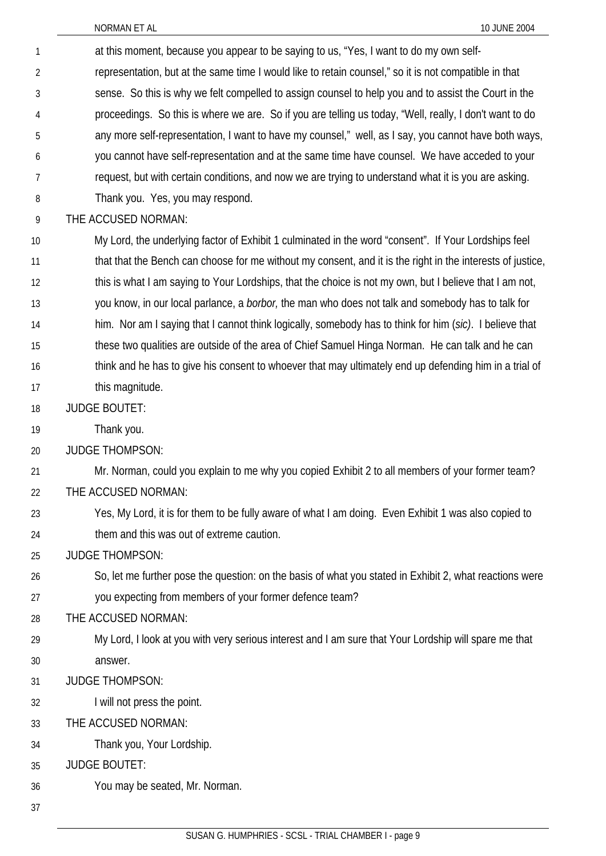| 1  | at this moment, because you appear to be saying to us, "Yes, I want to do my own self-                     |
|----|------------------------------------------------------------------------------------------------------------|
| 2  | representation, but at the same time I would like to retain counsel," so it is not compatible in that      |
| 3  | sense. So this is why we felt compelled to assign counsel to help you and to assist the Court in the       |
| 4  | proceedings. So this is where we are. So if you are telling us today, "Well, really, I don't want to do    |
| 5  | any more self-representation, I want to have my counsel," well, as I say, you cannot have both ways,       |
| 6  | you cannot have self-representation and at the same time have counsel. We have acceded to your             |
| 7  | request, but with certain conditions, and now we are trying to understand what it is you are asking.       |
| 8  | Thank you. Yes, you may respond.                                                                           |
| 9  | THE ACCUSED NORMAN:                                                                                        |
| 10 | My Lord, the underlying factor of Exhibit 1 culminated in the word "consent". If Your Lordships feel       |
| 11 | that that the Bench can choose for me without my consent, and it is the right in the interests of justice, |
| 12 | this is what I am saying to Your Lordships, that the choice is not my own, but I believe that I am not,    |
| 13 | you know, in our local parlance, a <i>borbor</i> , the man who does not talk and somebody has to talk for  |
| 14 | him. Nor am I saying that I cannot think logically, somebody has to think for him (sic). I believe that    |
| 15 | these two qualities are outside of the area of Chief Samuel Hinga Norman. He can talk and he can           |
| 16 | think and he has to give his consent to whoever that may ultimately end up defending him in a trial of     |
| 17 | this magnitude.                                                                                            |
| 18 | <b>JUDGE BOUTET:</b>                                                                                       |
| 19 | Thank you.                                                                                                 |
| 20 | <b>JUDGE THOMPSON:</b>                                                                                     |
| 21 | Mr. Norman, could you explain to me why you copied Exhibit 2 to all members of your former team?           |
| 22 | THE ACCUSED NORMAN:                                                                                        |
| 23 | Yes, My Lord, it is for them to be fully aware of what I am doing. Even Exhibit 1 was also copied to       |
| 24 | them and this was out of extreme caution.                                                                  |
| 25 | <b>JUDGE THOMPSON:</b>                                                                                     |
| 26 | So, let me further pose the question: on the basis of what you stated in Exhibit 2, what reactions were    |
| 27 | you expecting from members of your former defence team?                                                    |
| 28 | THE ACCUSED NORMAN:                                                                                        |
| 29 | My Lord, I look at you with very serious interest and I am sure that Your Lordship will spare me that      |
| 30 | answer.                                                                                                    |
| 31 | <b>JUDGE THOMPSON:</b>                                                                                     |
| 32 | I will not press the point.                                                                                |
| 33 | THE ACCUSED NORMAN:                                                                                        |
| 34 | Thank you, Your Lordship.                                                                                  |
| 35 | <b>JUDGE BOUTET:</b>                                                                                       |
| 36 | You may be seated, Mr. Norman.                                                                             |
| 37 |                                                                                                            |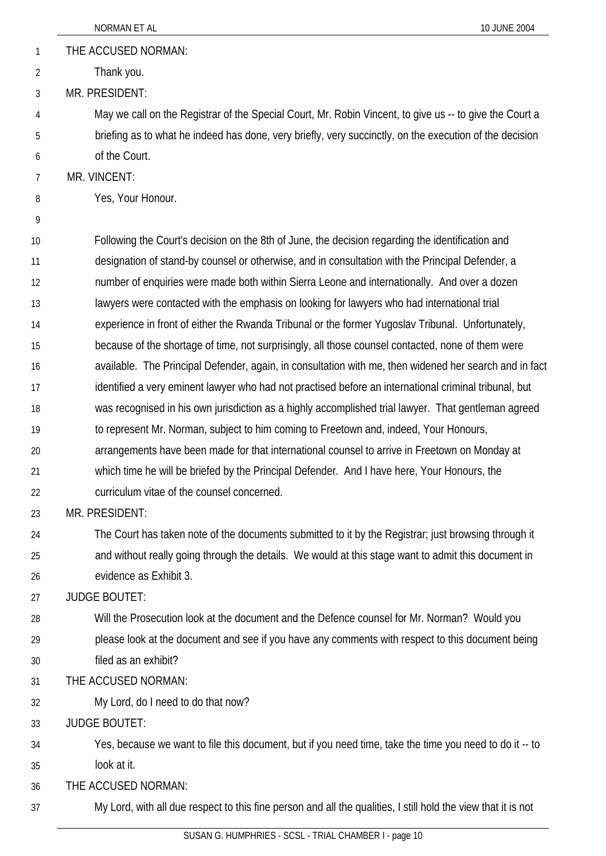- 1 THE ACCUSED NORMAN:
- 2 Thank you.

3 MR. PRESIDENT:

- May we call on the Registrar of the Special Court, Mr. Robin Vincent, to give us -- to give the Court a briefing as to what he indeed has done, very briefly, very succinctly, on the execution of the decision of the Court.
- 7 MR. VINCENT:
- 8 Yes, Your Honour.
- 9

4

5

6

10 11 12 13 14 15 16 17 18 19 20 21 22 Following the Court's decision on the 8th of June, the decision regarding the identification and designation of stand-by counsel or otherwise, and in consultation with the Principal Defender, a number of enquiries were made both within Sierra Leone and internationally. And over a dozen lawyers were contacted with the emphasis on looking for lawyers who had international trial experience in front of either the Rwanda Tribunal or the former Yugoslav Tribunal. Unfortunately, because of the shortage of time, not surprisingly, all those counsel contacted, none of them were available. The Principal Defender, again, in consultation with me, then widened her search and in fact identified a very eminent lawyer who had not practised before an international criminal tribunal, but was recognised in his own jurisdiction as a highly accomplished trial lawyer. That gentleman agreed to represent Mr. Norman, subject to him coming to Freetown and, indeed, Your Honours, arrangements have been made for that international counsel to arrive in Freetown on Monday at which time he will be briefed by the Principal Defender. And I have here, Your Honours, the curriculum vitae of the counsel concerned.

23 MR. PRESIDENT:

24 25 26 The Court has taken note of the documents submitted to it by the Registrar; just browsing through it and without really going through the details. We would at this stage want to admit this document in evidence as Exhibit 3.

27 JUDGE BOUTET:

- 28 29 30 Will the Prosecution look at the document and the Defence counsel for Mr. Norman? Would you please look at the document and see if you have any comments with respect to this document being filed as an exhibit?
- 31 THE ACCUSED NORMAN:

My Lord, do I need to do that now?

33 JUDGE BOUTET:

32

- 34 35 Yes, because we want to file this document, but if you need time, take the time you need to do it -- to look at it.
- 36 THE ACCUSED NORMAN:
- 37 My Lord, with all due respect to this fine person and all the qualities, I still hold the view that it is not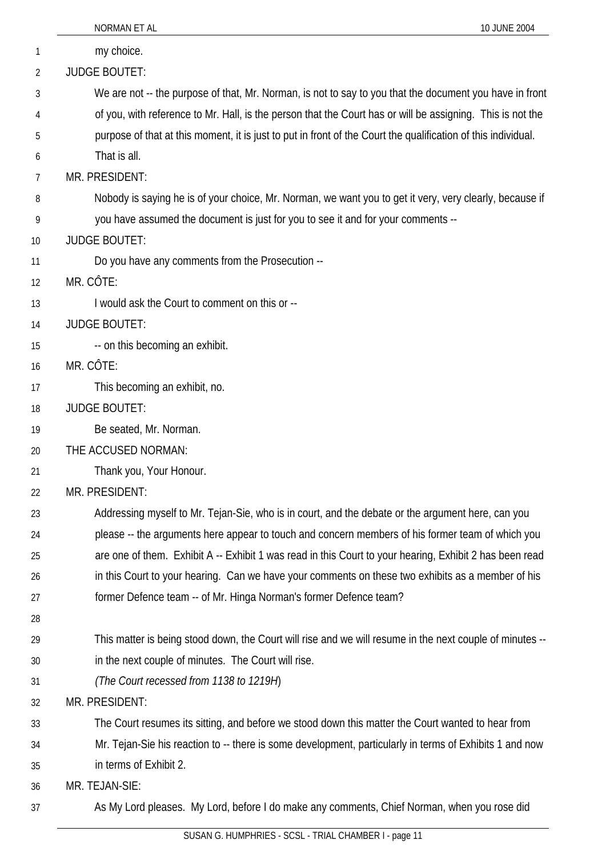|    | NORMAN ET AL<br>10 JUNE 2004                                                                                  |
|----|---------------------------------------------------------------------------------------------------------------|
| 1  | my choice.                                                                                                    |
| 2  | <b>JUDGE BOUTET:</b>                                                                                          |
| 3  | We are not -- the purpose of that, Mr. Norman, is not to say to you that the document you have in front       |
| 4  | of you, with reference to Mr. Hall, is the person that the Court has or will be assigning. This is not the    |
| 5  | purpose of that at this moment, it is just to put in front of the Court the qualification of this individual. |
| 6  | That is all.                                                                                                  |
| 7  | MR. PRESIDENT:                                                                                                |
| 8  | Nobody is saying he is of your choice, Mr. Norman, we want you to get it very, very clearly, because if       |
| 9  | you have assumed the document is just for you to see it and for your comments --                              |
| 10 | <b>JUDGE BOUTET:</b>                                                                                          |
| 11 | Do you have any comments from the Prosecution --                                                              |
| 12 | MR. CÔTE:                                                                                                     |
| 13 | I would ask the Court to comment on this or --                                                                |
| 14 | <b>JUDGE BOUTET:</b>                                                                                          |
| 15 | -- on this becoming an exhibit.                                                                               |
| 16 | MR. CÔTE:                                                                                                     |
| 17 | This becoming an exhibit, no.                                                                                 |
| 18 | <b>JUDGE BOUTET:</b>                                                                                          |
| 19 | Be seated, Mr. Norman.                                                                                        |
| 20 | THE ACCUSED NORMAN:                                                                                           |
| 21 | Thank you, Your Honour.                                                                                       |
| 22 | MR. PRESIDENT:                                                                                                |
| 23 | Addressing myself to Mr. Tejan-Sie, who is in court, and the debate or the argument here, can you             |
| 24 | please -- the arguments here appear to touch and concern members of his former team of which you              |
| 25 | are one of them. Exhibit A -- Exhibit 1 was read in this Court to your hearing, Exhibit 2 has been read       |
| 26 | in this Court to your hearing. Can we have your comments on these two exhibits as a member of his             |
| 27 | former Defence team -- of Mr. Hinga Norman's former Defence team?                                             |
| 28 |                                                                                                               |
| 29 | This matter is being stood down, the Court will rise and we will resume in the next couple of minutes --      |
| 30 | in the next couple of minutes. The Court will rise.                                                           |
| 31 | (The Court recessed from 1138 to 1219H)                                                                       |
| 32 | MR. PRESIDENT:                                                                                                |
| 33 | The Court resumes its sitting, and before we stood down this matter the Court wanted to hear from             |
| 34 | Mr. Tejan-Sie his reaction to -- there is some development, particularly in terms of Exhibits 1 and now       |
| 35 | in terms of Exhibit 2.                                                                                        |
| 36 | MR. TEJAN-SIE:                                                                                                |
| 37 | As My Lord pleases. My Lord, before I do make any comments, Chief Norman, when you rose did                   |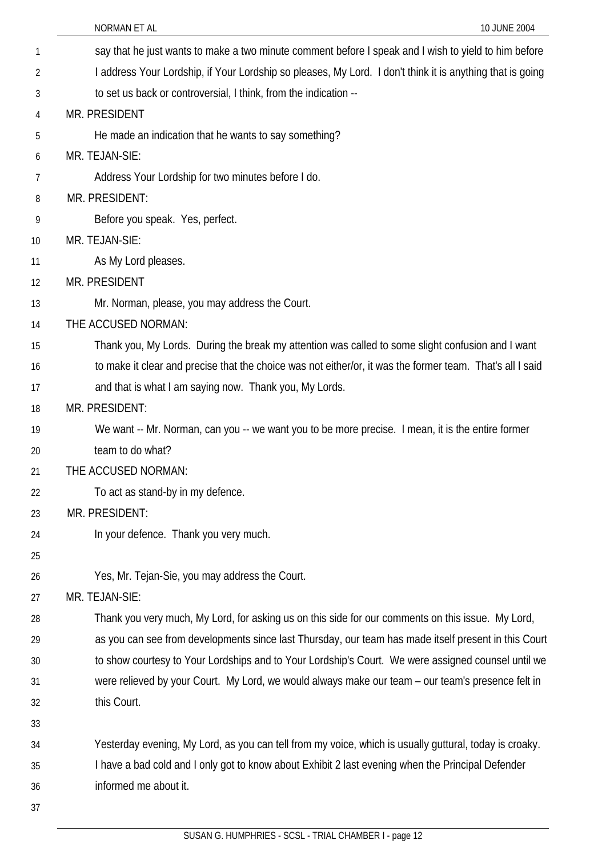|    | NORMAN ET AL<br>10 JUNE 2004                                                                              |
|----|-----------------------------------------------------------------------------------------------------------|
| 1  | say that he just wants to make a two minute comment before I speak and I wish to yield to him before      |
| 2  | I address Your Lordship, if Your Lordship so pleases, My Lord. I don't think it is anything that is going |
| 3  | to set us back or controversial, I think, from the indication --                                          |
| 4  | MR. PRESIDENT                                                                                             |
| 5  | He made an indication that he wants to say something?                                                     |
| 6  | MR. TEJAN-SIE:                                                                                            |
| 7  | Address Your Lordship for two minutes before I do.                                                        |
| 8  | MR. PRESIDENT:                                                                                            |
| 9  | Before you speak. Yes, perfect.                                                                           |
| 10 | MR. TEJAN-SIE:                                                                                            |
| 11 | As My Lord pleases.                                                                                       |
| 12 | MR. PRESIDENT                                                                                             |
| 13 | Mr. Norman, please, you may address the Court.                                                            |
| 14 | THE ACCUSED NORMAN:                                                                                       |
| 15 | Thank you, My Lords. During the break my attention was called to some slight confusion and I want         |
| 16 | to make it clear and precise that the choice was not either/or, it was the former team. That's all I said |
| 17 | and that is what I am saying now. Thank you, My Lords.                                                    |
| 18 | MR. PRESIDENT:                                                                                            |
| 19 | We want -- Mr. Norman, can you -- we want you to be more precise. I mean, it is the entire former         |
| 20 | team to do what?                                                                                          |
| 21 | THE ACCUSED NORMAN:                                                                                       |
| 22 | To act as stand-by in my defence.                                                                         |
| 23 | MR. PRESIDENT:                                                                                            |
| 24 | In your defence. Thank you very much.                                                                     |
| 25 |                                                                                                           |
| 26 | Yes, Mr. Tejan-Sie, you may address the Court.                                                            |
| 27 | MR. TEJAN-SIE:                                                                                            |
| 28 | Thank you very much, My Lord, for asking us on this side for our comments on this issue. My Lord,         |
| 29 | as you can see from developments since last Thursday, our team has made itself present in this Court      |
| 30 | to show courtesy to Your Lordships and to Your Lordship's Court. We were assigned counsel until we        |
| 31 | were relieved by your Court. My Lord, we would always make our team - our team's presence felt in         |
| 32 | this Court.                                                                                               |
| 33 |                                                                                                           |
| 34 | Yesterday evening, My Lord, as you can tell from my voice, which is usually guttural, today is croaky.    |
| 35 | I have a bad cold and I only got to know about Exhibit 2 last evening when the Principal Defender         |
| 36 | informed me about it.                                                                                     |
| 37 |                                                                                                           |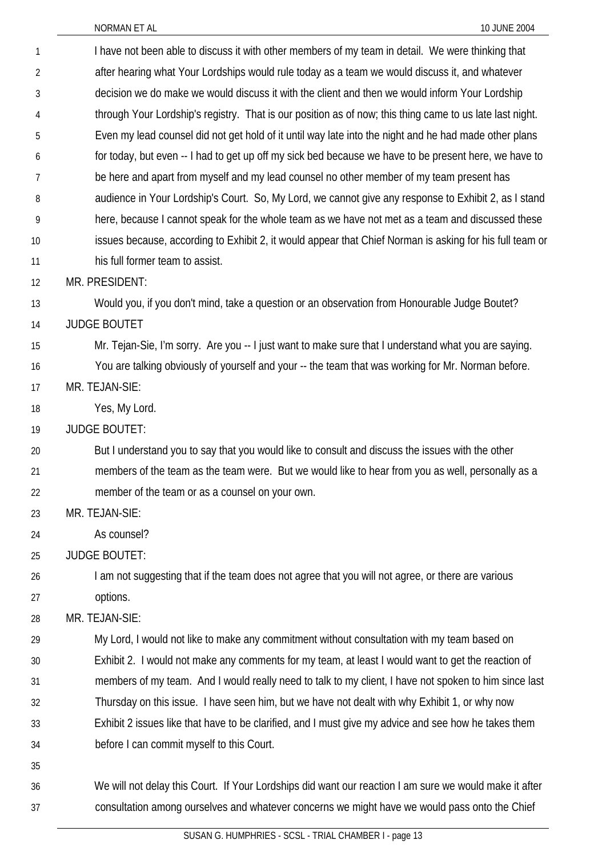| $\mathbf{1}$   | I have not been able to discuss it with other members of my team in detail. We were thinking that        |
|----------------|----------------------------------------------------------------------------------------------------------|
| $\overline{2}$ | after hearing what Your Lordships would rule today as a team we would discuss it, and whatever           |
| 3              | decision we do make we would discuss it with the client and then we would inform Your Lordship           |
| 4              | through Your Lordship's registry. That is our position as of now; this thing came to us late last night. |
| 5              | Even my lead counsel did not get hold of it until way late into the night and he had made other plans    |
| 6              | for today, but even -- I had to get up off my sick bed because we have to be present here, we have to    |
| 7              | be here and apart from myself and my lead counsel no other member of my team present has                 |
| 8              | audience in Your Lordship's Court. So, My Lord, we cannot give any response to Exhibit 2, as I stand     |
| 9              | here, because I cannot speak for the whole team as we have not met as a team and discussed these         |
| 10             | issues because, according to Exhibit 2, it would appear that Chief Norman is asking for his full team or |
| 11             | his full former team to assist.                                                                          |
| 12             | MR. PRESIDENT:                                                                                           |
| 13             | Would you, if you don't mind, take a question or an observation from Honourable Judge Boutet?            |
| 14             | <b>JUDGE BOUTET</b>                                                                                      |
| 15             | Mr. Tejan-Sie, I'm sorry. Are you -- I just want to make sure that I understand what you are saying.     |
| 16             | You are talking obviously of yourself and your -- the team that was working for Mr. Norman before.       |
| 17             | MR. TEJAN-SIE:                                                                                           |
| 18             | Yes, My Lord.                                                                                            |
| 19             | <b>JUDGE BOUTET:</b>                                                                                     |
| 20             | But I understand you to say that you would like to consult and discuss the issues with the other         |
| 21             | members of the team as the team were. But we would like to hear from you as well, personally as a        |
| 22             | member of the team or as a counsel on your own.                                                          |
| 23             | MR. TEJAN-SIE:                                                                                           |
| 24             | As counsel?                                                                                              |
| 25             | <b>JUDGE BOUTET:</b>                                                                                     |
| 26             | I am not suggesting that if the team does not agree that you will not agree, or there are various        |
| 27             | options.                                                                                                 |
| 28             | MR. TEJAN-SIE:                                                                                           |
| 29             | My Lord, I would not like to make any commitment without consultation with my team based on              |
| 30             | Exhibit 2. I would not make any comments for my team, at least I would want to get the reaction of       |
| 31             | members of my team. And I would really need to talk to my client, I have not spoken to him since last    |
| 32             | Thursday on this issue. I have seen him, but we have not dealt with why Exhibit 1, or why now            |
| 33             | Exhibit 2 issues like that have to be clarified, and I must give my advice and see how he takes them     |
| 34             | before I can commit myself to this Court.                                                                |
| 35             |                                                                                                          |
| 36             | We will not delay this Court. If Your Lordships did want our reaction I am sure we would make it after   |
| 37             | consultation among ourselves and whatever concerns we might have we would pass onto the Chief            |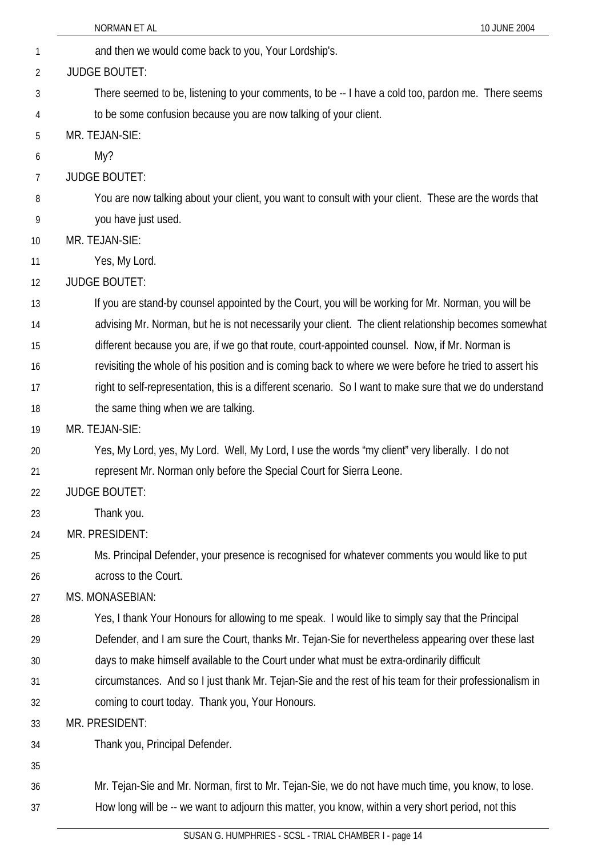|    | NORMAN ET AL<br>10 JUNE 2004                                                                             |
|----|----------------------------------------------------------------------------------------------------------|
| 1  | and then we would come back to you, Your Lordship's.                                                     |
| 2  | <b>JUDGE BOUTET:</b>                                                                                     |
| 3  | There seemed to be, listening to your comments, to be -- I have a cold too, pardon me. There seems       |
| 4  | to be some confusion because you are now talking of your client.                                         |
| 5  | MR. TEJAN-SIE:                                                                                           |
| 6  | My?                                                                                                      |
| 7  | <b>JUDGE BOUTET:</b>                                                                                     |
| 8  | You are now talking about your client, you want to consult with your client. These are the words that    |
| 9  | you have just used.                                                                                      |
| 10 | MR. TEJAN-SIE:                                                                                           |
| 11 | Yes, My Lord.                                                                                            |
| 12 | <b>JUDGE BOUTET:</b>                                                                                     |
| 13 | If you are stand-by counsel appointed by the Court, you will be working for Mr. Norman, you will be      |
| 14 | advising Mr. Norman, but he is not necessarily your client. The client relationship becomes somewhat     |
| 15 | different because you are, if we go that route, court-appointed counsel. Now, if Mr. Norman is           |
| 16 | revisiting the whole of his position and is coming back to where we were before he tried to assert his   |
| 17 | right to self-representation, this is a different scenario. So I want to make sure that we do understand |
| 18 | the same thing when we are talking.                                                                      |
| 19 | MR. TEJAN-SIE:                                                                                           |
| 20 | Yes, My Lord, yes, My Lord. Well, My Lord, I use the words "my client" very liberally. I do not          |
| 21 | represent Mr. Norman only before the Special Court for Sierra Leone.                                     |
| 22 | <b>JUDGE BOUTET:</b>                                                                                     |
| 23 | Thank you.                                                                                               |
| 24 | MR. PRESIDENT:                                                                                           |
| 25 | Ms. Principal Defender, your presence is recognised for whatever comments you would like to put          |
| 26 | across to the Court.                                                                                     |
| 27 | MS. MONASEBIAN:                                                                                          |
| 28 | Yes, I thank Your Honours for allowing to me speak. I would like to simply say that the Principal        |
| 29 | Defender, and I am sure the Court, thanks Mr. Tejan-Sie for nevertheless appearing over these last       |
| 30 | days to make himself available to the Court under what must be extra-ordinarily difficult                |
| 31 | circumstances. And so I just thank Mr. Tejan-Sie and the rest of his team for their professionalism in   |
| 32 | coming to court today. Thank you, Your Honours.                                                          |
| 33 | MR. PRESIDENT:                                                                                           |
| 34 | Thank you, Principal Defender.                                                                           |
| 35 |                                                                                                          |
| 36 | Mr. Tejan-Sie and Mr. Norman, first to Mr. Tejan-Sie, we do not have much time, you know, to lose.       |
| 37 | How long will be -- we want to adjourn this matter, you know, within a very short period, not this       |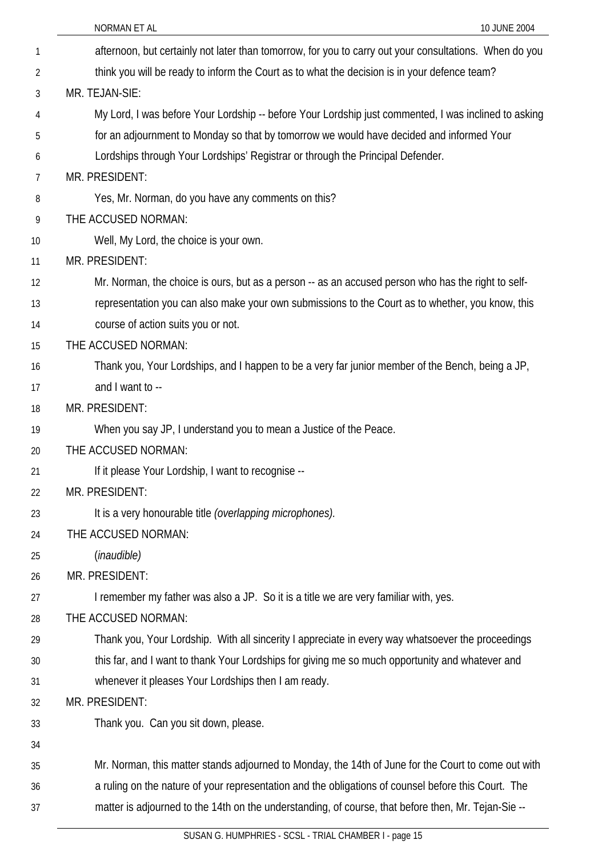|    | 10 JUNE 2004<br>NORMAN ET AL                                                                           |
|----|--------------------------------------------------------------------------------------------------------|
| 1  | afternoon, but certainly not later than tomorrow, for you to carry out your consultations. When do you |
| 2  | think you will be ready to inform the Court as to what the decision is in your defence team?           |
| 3  | MR. TEJAN-SIE:                                                                                         |
| 4  | My Lord, I was before Your Lordship -- before Your Lordship just commented, I was inclined to asking   |
| 5  | for an adjournment to Monday so that by tomorrow we would have decided and informed Your               |
| 6  | Lordships through Your Lordships' Registrar or through the Principal Defender.                         |
| 7  | MR. PRESIDENT:                                                                                         |
| 8  | Yes, Mr. Norman, do you have any comments on this?                                                     |
| 9  | THE ACCUSED NORMAN:                                                                                    |
| 10 | Well, My Lord, the choice is your own.                                                                 |
| 11 | MR. PRESIDENT:                                                                                         |
| 12 | Mr. Norman, the choice is ours, but as a person -- as an accused person who has the right to self-     |
| 13 | representation you can also make your own submissions to the Court as to whether, you know, this       |
| 14 | course of action suits you or not.                                                                     |
| 15 | THE ACCUSED NORMAN:                                                                                    |
| 16 | Thank you, Your Lordships, and I happen to be a very far junior member of the Bench, being a JP,       |
| 17 | and I want to --                                                                                       |
| 18 | MR. PRESIDENT:                                                                                         |
| 19 | When you say JP, I understand you to mean a Justice of the Peace.                                      |
| 20 | THE ACCUSED NORMAN:                                                                                    |
| 21 | If it please Your Lordship, I want to recognise --                                                     |
| 22 | MR. PRESIDENT:                                                                                         |
| 23 | It is a very honourable title (overlapping microphones).                                               |
| 24 | THE ACCUSED NORMAN:                                                                                    |
| 25 | (inaudible)                                                                                            |
| 26 | MR. PRESIDENT:                                                                                         |
| 27 | I remember my father was also a JP. So it is a title we are very familiar with, yes.                   |
| 28 | THE ACCUSED NORMAN:                                                                                    |
| 29 | Thank you, Your Lordship. With all sincerity I appreciate in every way whatsoever the proceedings      |
| 30 | this far, and I want to thank Your Lordships for giving me so much opportunity and whatever and        |
| 31 | whenever it pleases Your Lordships then I am ready.                                                    |
| 32 | MR. PRESIDENT:                                                                                         |
| 33 | Thank you. Can you sit down, please.                                                                   |
| 34 |                                                                                                        |
| 35 | Mr. Norman, this matter stands adjourned to Monday, the 14th of June for the Court to come out with    |
| 36 | a ruling on the nature of your representation and the obligations of counsel before this Court. The    |
| 37 | matter is adjourned to the 14th on the understanding, of course, that before then, Mr. Tejan-Sie --    |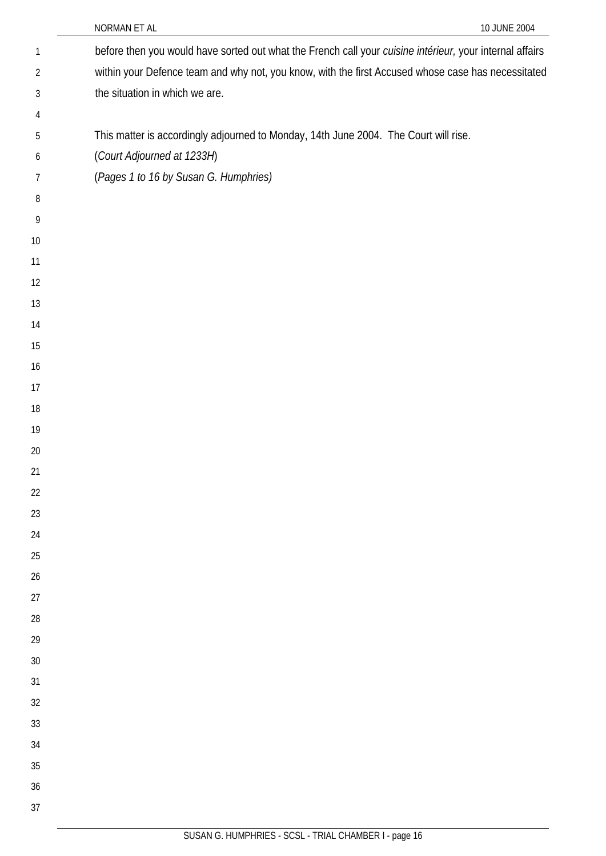|              | 10 JUNE 2004<br>NORMAN ET AL                                                                             |
|--------------|----------------------------------------------------------------------------------------------------------|
| $\mathbf{1}$ | before then you would have sorted out what the French call your cuisine intérieur, your internal affairs |
| 2            | within your Defence team and why not, you know, with the first Accused whose case has necessitated       |
| 3            | the situation in which we are.                                                                           |
| 4            |                                                                                                          |
| 5            | This matter is accordingly adjourned to Monday, 14th June 2004. The Court will rise.                     |
| 6            | (Court Adjourned at 1233H)                                                                               |
| 7            | (Pages 1 to 16 by Susan G. Humphries)                                                                    |
| 8            |                                                                                                          |
| 9            |                                                                                                          |
| 10           |                                                                                                          |
| 11           |                                                                                                          |
| 12           |                                                                                                          |
| 13           |                                                                                                          |
| 14           |                                                                                                          |
| 15           |                                                                                                          |
| 16           |                                                                                                          |
| 17           |                                                                                                          |
| 18           |                                                                                                          |
| 19           |                                                                                                          |
| 20           |                                                                                                          |
| 21           |                                                                                                          |
| 22           |                                                                                                          |
| 23           |                                                                                                          |
| 24           |                                                                                                          |
| 25           |                                                                                                          |
| 26           |                                                                                                          |
| 27           |                                                                                                          |
| 28           |                                                                                                          |
| 29           |                                                                                                          |
| 30           |                                                                                                          |
| 31           |                                                                                                          |
| 32           |                                                                                                          |
| 33           |                                                                                                          |
| 34<br>35     |                                                                                                          |
| 36           |                                                                                                          |
| 37           |                                                                                                          |
|              |                                                                                                          |